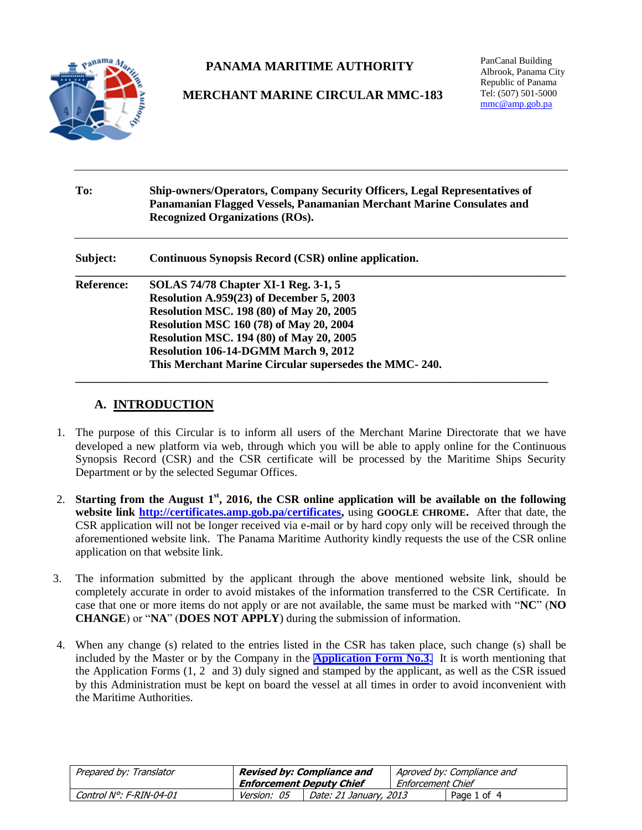

# **PANAMA MARITIME AUTHORITY**

# **MERCHANT MARINE CIRCULAR MMC-183**

PanCanal Building Albrook, Panama City Republic of Panama Tel: (507) 501-5000 [mmc@amp.gob.pa](mailto:mmc@amp.gob.pa)

| To:               | <b>Ship-owners/Operators, Company Security Officers, Legal Representatives of</b><br>Panamanian Flagged Vessels, Panamanian Merchant Marine Consulates and<br><b>Recognized Organizations (ROs).</b>                                                                                                                                                    |  |  |  |  |
|-------------------|---------------------------------------------------------------------------------------------------------------------------------------------------------------------------------------------------------------------------------------------------------------------------------------------------------------------------------------------------------|--|--|--|--|
| Subject:          | Continuous Synopsis Record (CSR) online application.                                                                                                                                                                                                                                                                                                    |  |  |  |  |
| <b>Reference:</b> | <b>SOLAS 74/78 Chapter XI-1 Reg. 3-1, 5</b><br>Resolution A.959(23) of December 5, 2003<br><b>Resolution MSC. 198 (80) of May 20, 2005</b><br><b>Resolution MSC 160 (78) of May 20, 2004</b><br><b>Resolution MSC. 194 (80) of May 20, 2005</b><br><b>Resolution 106-14-DGMM March 9, 2012</b><br>This Merchant Marine Circular supersedes the MMC-240. |  |  |  |  |

## **A. INTRODUCTION**

- 1. The purpose of this Circular is to inform all users of the Merchant Marine Directorate that we have developed a new platform via web, through which you will be able to apply online for the Continuous Synopsis Record (CSR) and the CSR certificate will be processed by the Maritime Ships Security Department or by the selected Segumar Offices.
- 2. **Starting from the August 1st, 2016, the CSR online application will be available on the following website link [http://certificates.amp.gob.pa/certificates,](http://certificates.amp.gob.pa/certificates)** using **GOOGLE CHROME.** After that date, the CSR application will not be longer received via e-mail or by hard copy only will be received through the aforementioned website link. The Panama Maritime Authority kindly requests the use of the CSR online application on that website link.
- 3. The information submitted by the applicant through the above mentioned website link, should be completely accurate in order to avoid mistakes of the information transferred to the CSR Certificate. In case that one or more items do not apply or are not available, the same must be marked with "**NC**" (**NO CHANGE**) or "**NA**" (**DOES NOT APPLY**) during the submission of information.
- 4. When any change (s) related to the entries listed in the CSR has taken place, such change (s) shall be included by the Master or by the Company in the **[Application Form No.3.](http://www.segumar.com/wp-content/uploads/2016/07/APPLICATION-FORM-3.docx)** It is worth mentioning that the Application Forms (1, 2 and 3) duly signed and stamped by the applicant, as well as the CSR issued by this Administration must be kept on board the vessel at all times in order to avoid inconvenient with the Maritime Authorities.

| Prepared by: Translator | <b>Revised by: Compliance and</b><br><b>Enforcement Deputy Chief</b> |                        | Aproved by: Compliance and<br>Enforcement Chief |             |
|-------------------------|----------------------------------------------------------------------|------------------------|-------------------------------------------------|-------------|
| Control N°: F-RIN-04-01 | <i>Version: 05</i>                                                   | Date: 21 January, 2013 |                                                 | Page 1 of 4 |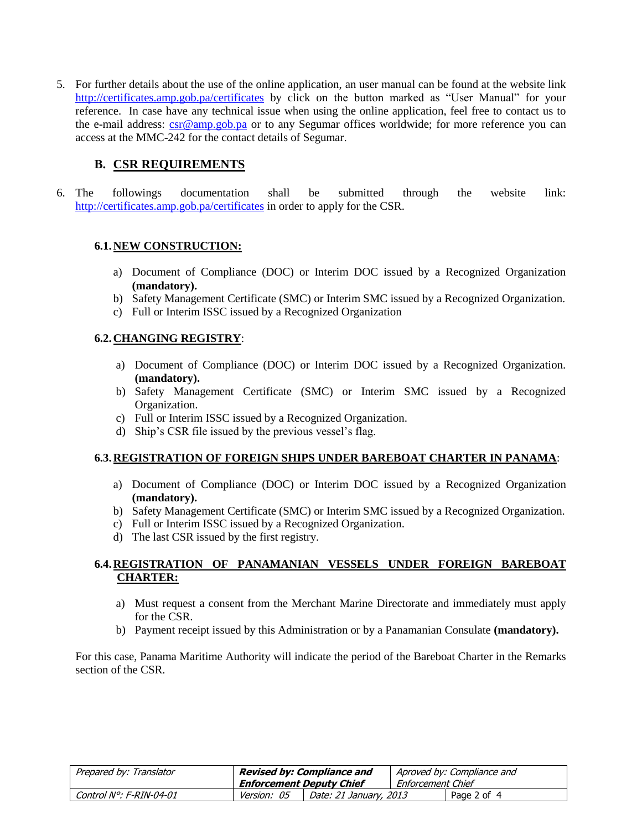5. For further details about the use of the online application, an user manual can be found at the website link <http://certificates.amp.gob.pa/certificates> by click on the button marked as "User Manual" for your reference. In case have any technical issue when using the online application, feel free to contact us to the e-mail address: [csr@amp.gob.pa](mailto:csr@amp.gob.pa) or to any Segumar offices worldwide; for more reference you can access at the MMC-242 for the contact details of Segumar.

## **B. CSR REQUIREMENTS**

6. The followings documentation shall be submitted through the website link: <http://certificates.amp.gob.pa/certificates> in order to apply for the CSR.

#### **6.1.NEW CONSTRUCTION:**

- a) Document of Compliance (DOC) or Interim DOC issued by a Recognized Organization **(mandatory).**
- b) Safety Management Certificate (SMC) or Interim SMC issued by a Recognized Organization.
- c) Full or Interim ISSC issued by a Recognized Organization

### **6.2.CHANGING REGISTRY**:

- a) Document of Compliance (DOC) or Interim DOC issued by a Recognized Organization. **(mandatory).**
- b) Safety Management Certificate (SMC) or Interim SMC issued by a Recognized Organization.
- c) Full or Interim ISSC issued by a Recognized Organization.
- d) Ship's CSR file issued by the previous vessel's flag.

### **6.3.REGISTRATION OF FOREIGN SHIPS UNDER BAREBOAT CHARTER IN PANAMA**:

- a) Document of Compliance (DOC) or Interim DOC issued by a Recognized Organization **(mandatory).**
- b) Safety Management Certificate (SMC) or Interim SMC issued by a Recognized Organization.
- c) Full or Interim ISSC issued by a Recognized Organization.
- d) The last CSR issued by the first registry.

### **6.4.REGISTRATION OF PANAMANIAN VESSELS UNDER FOREIGN BAREBOAT CHARTER:**

- a) Must request a consent from the Merchant Marine Directorate and immediately must apply for the CSR.
- b) Payment receipt issued by this Administration or by a Panamanian Consulate **(mandatory).**

For this case, Panama Maritime Authority will indicate the period of the Bareboat Charter in the Remarks section of the CSR.

| Prepared by: Translator |                                 | <b>Revised by: Compliance and</b> |                   | Aproved by: Compliance and |
|-------------------------|---------------------------------|-----------------------------------|-------------------|----------------------------|
|                         | <b>Enforcement Deputy Chief</b> |                                   | Enforcement Chief |                            |
| Control N°: F-RIN-04-01 | Version: 05                     | Date: 21 January, 2013            |                   | Page 2 of 4                |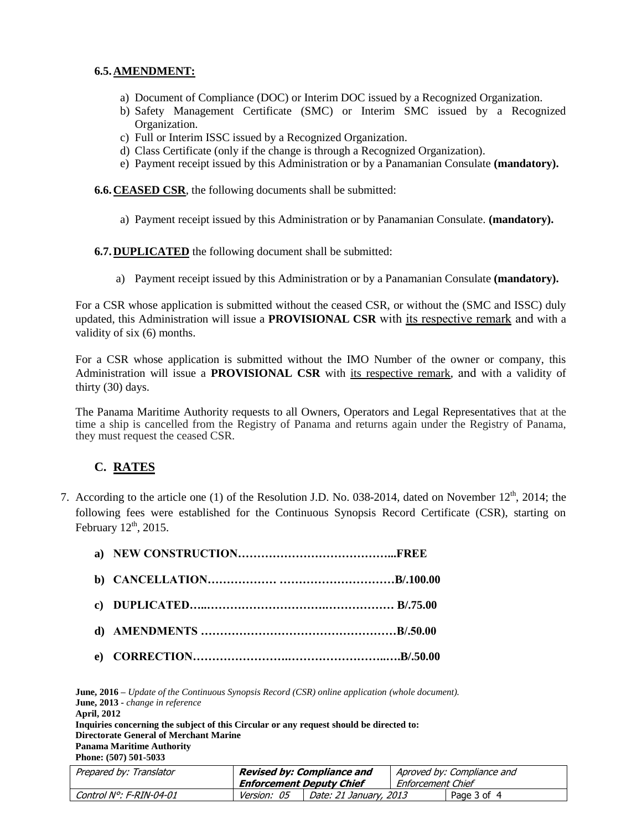#### **6.5.AMENDMENT:**

- a) Document of Compliance (DOC) or Interim DOC issued by a Recognized Organization.
- b) Safety Management Certificate (SMC) or Interim SMC issued by a Recognized Organization.
- c) Full or Interim ISSC issued by a Recognized Organization.
- d) Class Certificate (only if the change is through a Recognized Organization).
- e) Payment receipt issued by this Administration or by a Panamanian Consulate **(mandatory).**

**6.6. CEASED CSR**, the following documents shall be submitted:

a) Payment receipt issued by this Administration or by Panamanian Consulate. **(mandatory).**

**6.7.DUPLICATED** the following document shall be submitted:

a) Payment receipt issued by this Administration or by a Panamanian Consulate **(mandatory).**

For a CSR whose application is submitted without the ceased CSR, or without the (SMC and ISSC) duly updated, this Administration will issue a **PROVISIONAL CSR** with its respective remark and with a validity of six (6) months.

For a CSR whose application is submitted without the IMO Number of the owner or company, this Administration will issue a **PROVISIONAL CSR** with its respective remark, and with a validity of thirty (30) days.

The Panama Maritime Authority requests to all Owners, Operators and Legal Representatives that at the time a ship is cancelled from the Registry of Panama and returns again under the Registry of Panama, they must request the ceased CSR.

## **C. RATES**

7. According to the article one (1) of the Resolution J.D. No. 038-2014, dated on November  $12<sup>th</sup>$ , 2014; the following fees were established for the Continuous Synopsis Record Certificate (CSR), starting on February  $12<sup>th</sup>$ , 2015.

**June, 2016 –** *Update of the Continuous Synopsis Record (CSR) online application (whole document).* **June, 2013 -** *change in reference* **April, 2012 Inquiries concerning the subject of this Circular or any request should be directed to: Directorate General of Merchant Marine Panama Maritime Authority Phone: (507) 501-5033**

| Prepared by: Translator | Revised by: Compliance and |                        |                   | Aproved by: Compliance and |
|-------------------------|----------------------------|------------------------|-------------------|----------------------------|
|                         | Enforcement Deputy Chief   |                        | Enforcement Chief |                            |
| Control N°: F-RIN-04-01 | <i>Version: 05</i>         | Date: 21 January, 2013 |                   | Page 3 of 4                |